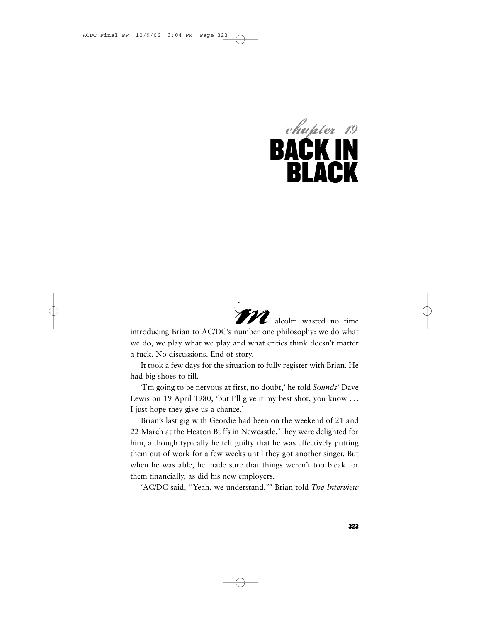



we do, we play what we play and what critics think doesn't matter a fuck. No discussions. End of story.

It took a few days for the situation to fully register with Brian. He had big shoes to fill.

'I'm going to be nervous at first, no doubt,' he told *Sounds*' Dave Lewis on 19 April 1980, 'but I'll give it my best shot, you know ... I just hope they give us a chance.'

Brian's last gig with Geordie had been on the weekend of 21 and 22 March at the Heaton Buffs in Newcastle. They were delighted for him, although typically he felt guilty that he was effectively putting them out of work for a few weeks until they got another singer. But when he was able, he made sure that things weren't too bleak for them financially, as did his new employers.

'AC/DC said, "Yeah, we understand,"' Brian told *The Interview*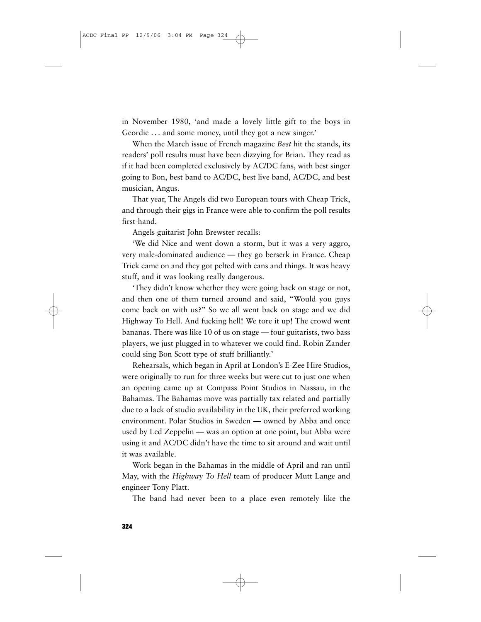in November 1980, 'and made a lovely little gift to the boys in Geordie ... and some money, until they got a new singer.'

When the March issue of French magazine *Best* hit the stands, its readers' poll results must have been dizzying for Brian. They read as if it had been completed exclusively by AC/DC fans, with best singer going to Bon, best band to AC/DC, best live band, AC/DC, and best musician, Angus.

That year, The Angels did two European tours with Cheap Trick, and through their gigs in France were able to confirm the poll results first-hand.

Angels guitarist John Brewster recalls:

'We did Nice and went down a storm, but it was a very aggro, very male-dominated audience — they go berserk in France. Cheap Trick came on and they got pelted with cans and things. It was heavy stuff, and it was looking really dangerous.

'They didn't know whether they were going back on stage or not, and then one of them turned around and said, "Would you guys come back on with us?" So we all went back on stage and we did Highway To Hell. And fucking hell! We tore it up! The crowd went bananas. There was like 10 of us on stage — four guitarists, two bass players, we just plugged in to whatever we could find. Robin Zander could sing Bon Scott type of stuff brilliantly.'

Rehearsals, which began in April at London's E-Zee Hire Studios, were originally to run for three weeks but were cut to just one when an opening came up at Compass Point Studios in Nassau, in the Bahamas. The Bahamas move was partially tax related and partially due to a lack of studio availability in the UK, their preferred working environment. Polar Studios in Sweden — owned by Abba and once used by Led Zeppelin — was an option at one point, but Abba were using it and AC/DC didn't have the time to sit around and wait until it was available.

Work began in the Bahamas in the middle of April and ran until May, with the *Highway To Hell* team of producer Mutt Lange and engineer Tony Platt.

The band had never been to a place even remotely like the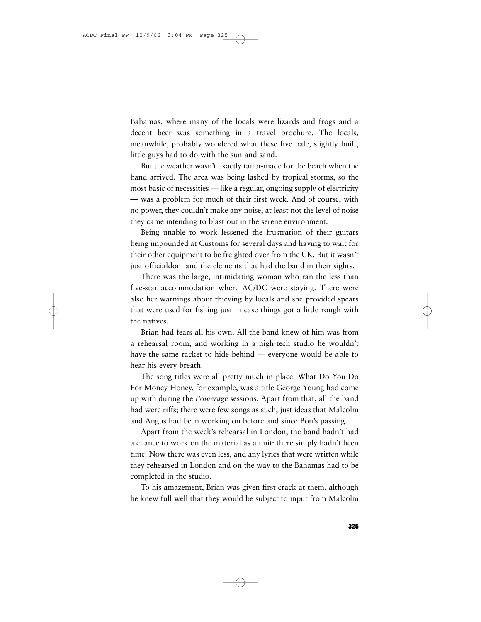Bahamas, where many of the locals were lizards and frogs and a decent beer was something in a travel brochure. The locals, meanwhile, probably wondered what these five pale, slightly built, little guys had to do with the sun and sand.

But the weather wasn't exactly tailor-made for the beach when the band arrived. The area was being lashed by tropical storms, so the most basic of necessities — like a regular, ongoing supply of electricity — was a problem for much of their first week. And of course, with no power, they couldn't make any noise; at least not the level of noise they came intending to blast out in the serene environment.

Being unable to work lessened the frustration of their guitars being impounded at Customs for several days and having to wait for their other equipment to be freighted over from the UK. But it wasn't just officialdom and the elements that had the band in their sights.

There was the large, intimidating woman who ran the less than five-star accommodation where AC/DC were staying. There were also her warnings about thieving by locals and she provided spears that were used for fishing just in case things got a little rough with the natives.

Brian had fears all his own. All the band knew of him was from a rehearsal room, and working in a high-tech studio he wouldn't have the same racket to hide behind — everyone would be able to hear his every breath.

The song titles were all pretty much in place. What Do You Do For Money Honey, for example, was a title George Young had come up with during the *Powerage* sessions. Apart from that, all the band had were riffs; there were few songs as such, just ideas that Malcolm and Angus had been working on before and since Bon's passing.

Apart from the week's rehearsal in London, the band hadn't had a chance to work on the material as a unit: there simply hadn't been time. Now there was even less, and any lyrics that were written while they rehearsed in London and on the way to the Bahamas had to be completed in the studio.

To his amazement, Brian was given first crack at them, although he knew full well that they would be subject to input from Malcolm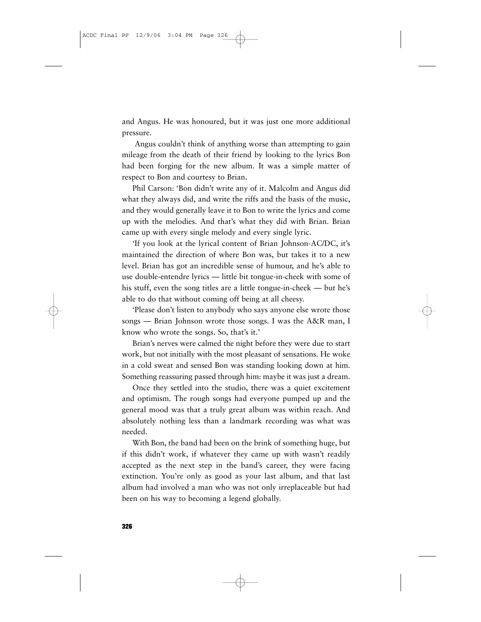and Angus. He was honoured, but it was just one more additional pressure.

Angus couldn't think of anything worse than attempting to gain mileage from the death of their friend by looking to the lyrics Bon had been forging for the new album. It was a simple matter of respect to Bon and courtesy to Brian.

Phil Carson: 'Bon didn't write any of it. Malcolm and Angus did what they always did, and write the riffs and the basis of the music, and they would generally leave it to Bon to write the lyrics and come up with the melodies. And that's what they did with Brian. Brian came up with every single melody and every single lyric.

'If you look at the lyrical content of Brian Johnson-AC/DC, it's maintained the direction of where Bon was, but takes it to a new level. Brian has got an incredible sense of humour, and he's able to use double-entendre lyrics — little bit tongue-in-cheek with some of his stuff, even the song titles are a little tongue-in-cheek — but he's able to do that without coming off being at all cheesy.

'Please don't listen to anybody who says anyone else wrote those songs — Brian Johnson wrote those songs. I was the A&R man, I know who wrote the songs. So, that's it.'

Brian's nerves were calmed the night before they were due to start work, but not initially with the most pleasant of sensations. He woke in a cold sweat and sensed Bon was standing looking down at him. Something reassuring passed through him: maybe it was just a dream.

Once they settled into the studio, there was a quiet excitement and optimism. The rough songs had everyone pumped up and the general mood was that a truly great album was within reach. And absolutely nothing less than a landmark recording was what was needed.

With Bon, the band had been on the brink of something huge, but if this didn't work, if whatever they came up with wasn't readily accepted as the next step in the band's career, they were facing extinction. You're only as good as your last album, and that last album had involved a man who was not only irreplaceable but had been on his way to becoming a legend globally.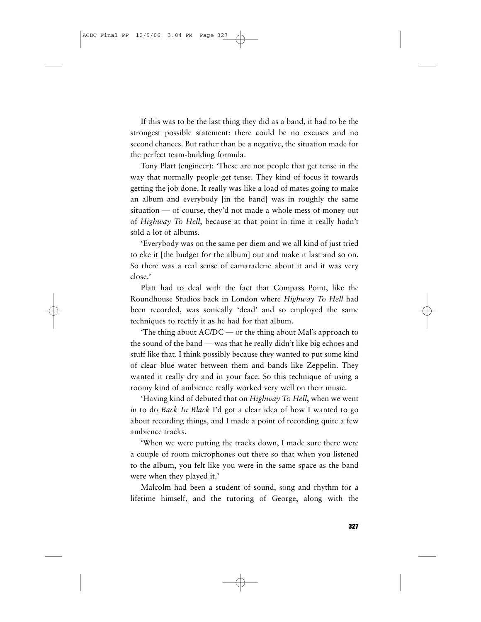If this was to be the last thing they did as a band, it had to be the strongest possible statement: there could be no excuses and no second chances. But rather than be a negative, the situation made for the perfect team-building formula.

Tony Platt (engineer): 'These are not people that get tense in the way that normally people get tense. They kind of focus it towards getting the job done. It really was like a load of mates going to make an album and everybody [in the band] was in roughly the same situation — of course, they'd not made a whole mess of money out of *Highway To Hell*, because at that point in time it really hadn't sold a lot of albums.

'Everybody was on the same per diem and we all kind of just tried to eke it [the budget for the album] out and make it last and so on. So there was a real sense of camaraderie about it and it was very close.'

Platt had to deal with the fact that Compass Point, like the Roundhouse Studios back in London where *Highway To Hell* had been recorded, was sonically 'dead' and so employed the same techniques to rectify it as he had for that album.

'The thing about AC/DC — or the thing about Mal's approach to the sound of the band — was that he really didn't like big echoes and stuff like that. I think possibly because they wanted to put some kind of clear blue water between them and bands like Zeppelin. They wanted it really dry and in your face. So this technique of using a roomy kind of ambience really worked very well on their music.

'Having kind of debuted that on *Highway To Hell*, when we went in to do *Back In Black* I'd got a clear idea of how I wanted to go about recording things, and I made a point of recording quite a few ambience tracks.

'When we were putting the tracks down, I made sure there were a couple of room microphones out there so that when you listened to the album, you felt like you were in the same space as the band were when they played it.'

Malcolm had been a student of sound, song and rhythm for a lifetime himself, and the tutoring of George, along with the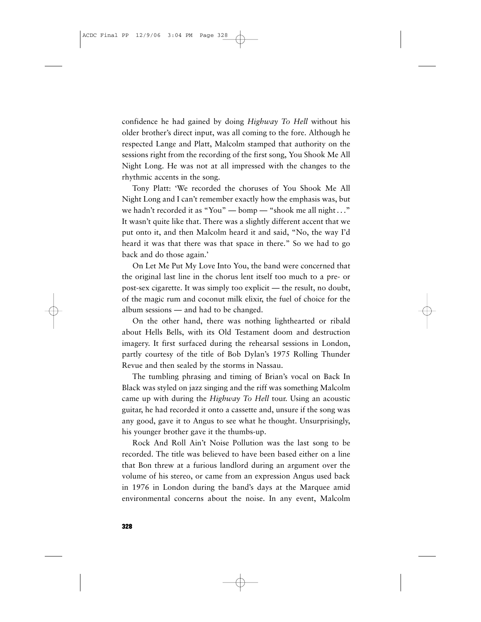confidence he had gained by doing *Highway To Hell* without his older brother's direct input, was all coming to the fore. Although he respected Lange and Platt, Malcolm stamped that authority on the sessions right from the recording of the first song, You Shook Me All Night Long. He was not at all impressed with the changes to the rhythmic accents in the song.

Tony Platt: 'We recorded the choruses of You Shook Me All Night Long and I can't remember exactly how the emphasis was, but we hadn't recorded it as "You" — bomp — "shook me all night..." It wasn't quite like that. There was a slightly different accent that we put onto it, and then Malcolm heard it and said, "No, the way I'd heard it was that there was that space in there." So we had to go back and do those again.'

On Let Me Put My Love Into You, the band were concerned that the original last line in the chorus lent itself too much to a pre- or post-sex cigarette. It was simply too explicit — the result, no doubt, of the magic rum and coconut milk elixir, the fuel of choice for the album sessions — and had to be changed.

On the other hand, there was nothing lighthearted or ribald about Hells Bells, with its Old Testament doom and destruction imagery. It first surfaced during the rehearsal sessions in London, partly courtesy of the title of Bob Dylan's 1975 Rolling Thunder Revue and then sealed by the storms in Nassau.

The tumbling phrasing and timing of Brian's vocal on Back In Black was styled on jazz singing and the riff was something Malcolm came up with during the *Highway To Hell* tour. Using an acoustic guitar, he had recorded it onto a cassette and, unsure if the song was any good, gave it to Angus to see what he thought. Unsurprisingly, his younger brother gave it the thumbs-up.

Rock And Roll Ain't Noise Pollution was the last song to be recorded. The title was believed to have been based either on a line that Bon threw at a furious landlord during an argument over the volume of his stereo, or came from an expression Angus used back in 1976 in London during the band's days at the Marquee amid environmental concerns about the noise. In any event, Malcolm